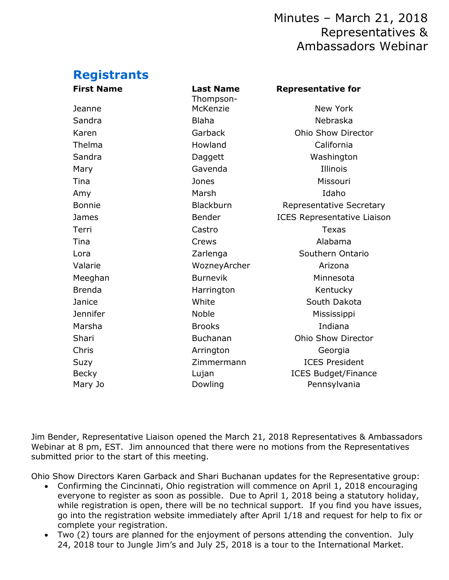## Minutes – March 21, 2018 Representatives & Ambassadors Webinar

# **Registrants**

| <b>First Name</b> | <b>Last Name</b><br>Thompson- | <b>Representative for</b>          |
|-------------------|-------------------------------|------------------------------------|
| Jeanne            | McKenzie                      | New York                           |
| Sandra            | <b>Blaha</b>                  | Nebraska                           |
| Karen             | Garback                       | <b>Ohio Show Director</b>          |
| Thelma            | Howland                       | California                         |
| Sandra            | Daggett                       | Washington                         |
| Mary              | Gavenda                       | Illinois                           |
| Tina              | Jones                         | Missouri                           |
| Amy               | Marsh                         | Idaho                              |
| <b>Bonnie</b>     | Blackburn                     | Representative Secretary           |
| James             | Bender                        | <b>ICES Representative Liaison</b> |
| Terri             | Castro                        | <b>Texas</b>                       |
| Tina              | Crews                         | Alabama                            |
| Lora              | Zarlenga                      | Southern Ontario                   |
| Valarie           | WozneyArcher                  | Arizona                            |
| Meeghan           | <b>Burnevik</b>               | Minnesota                          |
| <b>Brenda</b>     | Harrington                    | Kentucky                           |
| Janice            | White                         | South Dakota                       |
| Jennifer          | Noble                         | Mississippi                        |
| Marsha            | <b>Brooks</b>                 | Indiana                            |
| Shari             | Buchanan                      | Ohio Show Director                 |
| Chris             | Arrington                     | Georgia                            |
| Suzy              | Zimmermann                    | <b>ICES President</b>              |
| <b>Becky</b>      | Lujan                         | <b>ICES Budget/Finance</b>         |
| Mary Jo           | Dowling                       | Pennsylvania                       |
|                   |                               |                                    |

Jim Bender, Representative Liaison opened the March 21, 2018 Representatives & Ambassadors Webinar at 8 pm, EST. Jim announced that there were no motions from the Representatives submitted prior to the start of this meeting.

Ohio Show Directors Karen Garback and Shari Buchanan updates for the Representative group:

- Confirming the Cincinnati, Ohio registration will commence on April 1, 2018 encouraging everyone to register as soon as possible. Due to April 1, 2018 being a statutory holiday, while registration is open, there will be no technical support. If you find you have issues, go into the registration website immediately after April 1/18 and request for help to fix or complete your registration.
- Two (2) tours are planned for the enjoyment of persons attending the convention. July 24, 2018 tour to Jungle Jim's and July 25, 2018 is a tour to the International Market.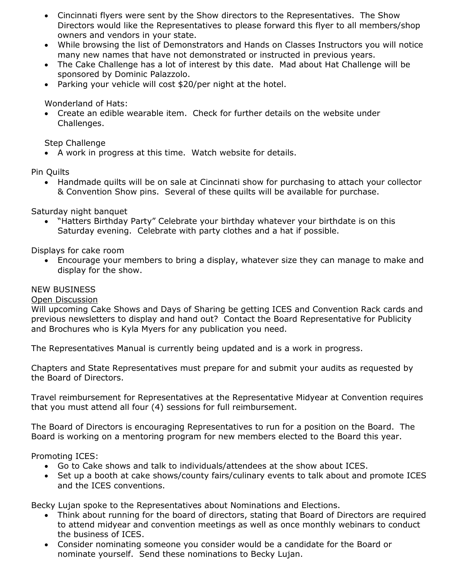- Cincinnati flyers were sent by the Show directors to the Representatives. The Show Directors would like the Representatives to please forward this flyer to all members/shop owners and vendors in your state.
- While browsing the list of Demonstrators and Hands on Classes Instructors you will notice many new names that have not demonstrated or instructed in previous years.
- The Cake Challenge has a lot of interest by this date. Mad about Hat Challenge will be sponsored by Dominic Palazzolo.
- Parking your vehicle will cost \$20/per night at the hotel.

Wonderland of Hats:

• Create an edible wearable item. Check for further details on the website under Challenges.

Step Challenge

• A work in progress at this time. Watch website for details.

Pin Quilts

• Handmade quilts will be on sale at Cincinnati show for purchasing to attach your collector & Convention Show pins. Several of these quilts will be available for purchase.

Saturday night banquet

• "Hatters Birthday Party" Celebrate your birthday whatever your birthdate is on this Saturday evening. Celebrate with party clothes and a hat if possible.

Displays for cake room

• Encourage your members to bring a display, whatever size they can manage to make and display for the show.

#### NEW BUSINESS

#### Open Discussion

Will upcoming Cake Shows and Days of Sharing be getting ICES and Convention Rack cards and previous newsletters to display and hand out? Contact the Board Representative for Publicity and Brochures who is Kyla Myers for any publication you need.

The Representatives Manual is currently being updated and is a work in progress.

Chapters and State Representatives must prepare for and submit your audits as requested by the Board of Directors.

Travel reimbursement for Representatives at the Representative Midyear at Convention requires that you must attend all four (4) sessions for full reimbursement.

The Board of Directors is encouraging Representatives to run for a position on the Board. The Board is working on a mentoring program for new members elected to the Board this year.

Promoting ICES:

- Go to Cake shows and talk to individuals/attendees at the show about ICES.
- Set up a booth at cake shows/county fairs/culinary events to talk about and promote ICES and the ICES conventions.

Becky Lujan spoke to the Representatives about Nominations and Elections.

- Think about running for the board of directors, stating that Board of Directors are required to attend midyear and convention meetings as well as once monthly webinars to conduct the business of ICES.
- Consider nominating someone you consider would be a candidate for the Board or nominate yourself. Send these nominations to Becky Lujan.